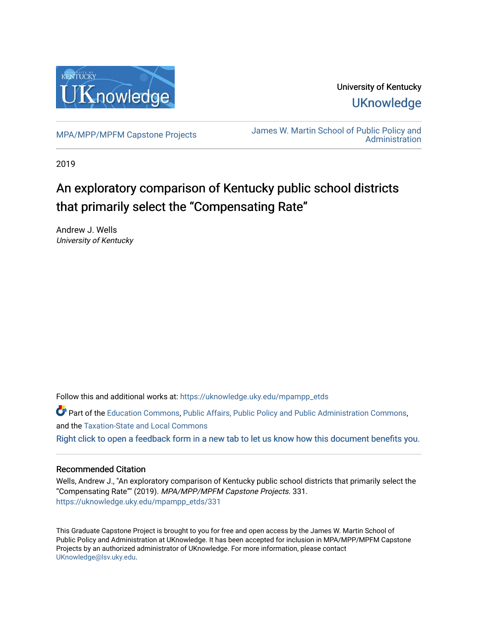

University of Kentucky **UKnowledge** 

[MPA/MPP/MPFM Capstone Projects](https://uknowledge.uky.edu/mpampp_etds) James W. Martin School of Public Policy and [Administration](https://uknowledge.uky.edu/msppa) 

2019

# An exploratory comparison of Kentucky public school districts that primarily select the "Compensating Rate"

Andrew J. Wells University of Kentucky

Follow this and additional works at: [https://uknowledge.uky.edu/mpampp\\_etds](https://uknowledge.uky.edu/mpampp_etds?utm_source=uknowledge.uky.edu%2Fmpampp_etds%2F331&utm_medium=PDF&utm_campaign=PDFCoverPages)

Part of the [Education Commons](http://network.bepress.com/hgg/discipline/784?utm_source=uknowledge.uky.edu%2Fmpampp_etds%2F331&utm_medium=PDF&utm_campaign=PDFCoverPages), [Public Affairs, Public Policy and Public Administration Commons](http://network.bepress.com/hgg/discipline/393?utm_source=uknowledge.uky.edu%2Fmpampp_etds%2F331&utm_medium=PDF&utm_campaign=PDFCoverPages), and the [Taxation-State and Local Commons](http://network.bepress.com/hgg/discipline/882?utm_source=uknowledge.uky.edu%2Fmpampp_etds%2F331&utm_medium=PDF&utm_campaign=PDFCoverPages) [Right click to open a feedback form in a new tab to let us know how this document benefits you.](https://uky.az1.qualtrics.com/jfe/form/SV_9mq8fx2GnONRfz7)

## Recommended Citation

Wells, Andrew J., "An exploratory comparison of Kentucky public school districts that primarily select the "Compensating Rate"" (2019). MPA/MPP/MPFM Capstone Projects. 331. [https://uknowledge.uky.edu/mpampp\\_etds/331](https://uknowledge.uky.edu/mpampp_etds/331?utm_source=uknowledge.uky.edu%2Fmpampp_etds%2F331&utm_medium=PDF&utm_campaign=PDFCoverPages)

This Graduate Capstone Project is brought to you for free and open access by the James W. Martin School of Public Policy and Administration at UKnowledge. It has been accepted for inclusion in MPA/MPP/MPFM Capstone Projects by an authorized administrator of UKnowledge. For more information, please contact [UKnowledge@lsv.uky.edu.](mailto:UKnowledge@lsv.uky.edu)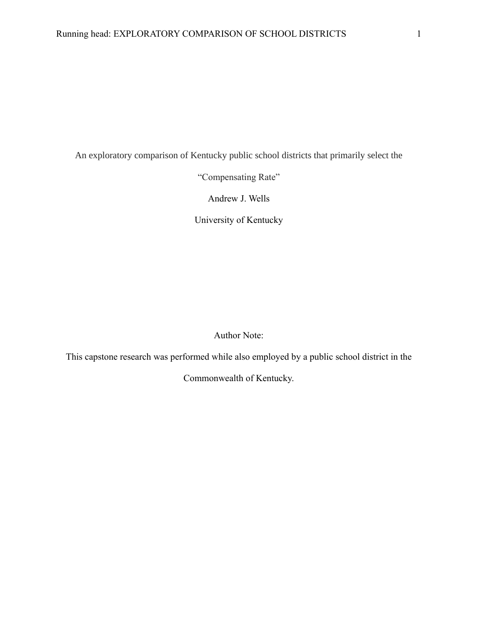An exploratory comparison of Kentucky public school districts that primarily select the

"Compensating Rate"

Andrew J. Wells

University of Kentucky

Author Note:

This capstone research was performed while also employed by a public school district in the

Commonwealth of Kentucky.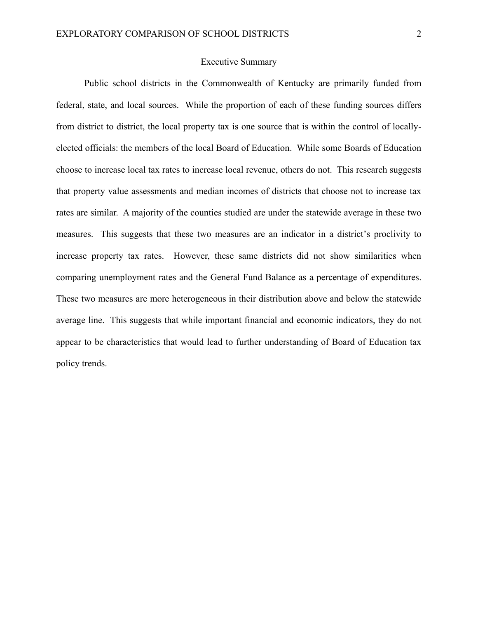### Executive Summary

Public school districts in the Commonwealth of Kentucky are primarily funded from federal, state, and local sources. While the proportion of each of these funding sources differs from district to district, the local property tax is one source that is within the control of locallyelected officials: the members of the local Board of Education. While some Boards of Education choose to increase local tax rates to increase local revenue, others do not. This research suggests that property value assessments and median incomes of districts that choose not to increase tax rates are similar. A majority of the counties studied are under the statewide average in these two measures. This suggests that these two measures are an indicator in a district's proclivity to increase property tax rates. However, these same districts did not show similarities when comparing unemployment rates and the General Fund Balance as a percentage of expenditures. These two measures are more heterogeneous in their distribution above and below the statewide average line. This suggests that while important financial and economic indicators, they do not appear to be characteristics that would lead to further understanding of Board of Education tax policy trends.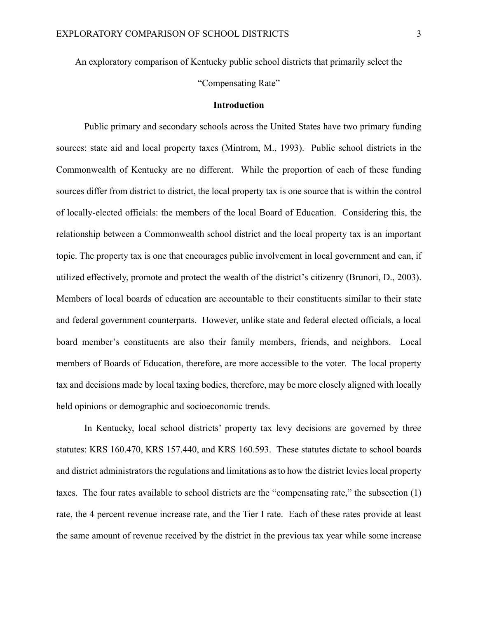An exploratory comparison of Kentucky public school districts that primarily select the

"Compensating Rate"

#### **Introduction**

Public primary and secondary schools across the United States have two primary funding sources: state aid and local property taxes (Mintrom, M., 1993). Public school districts in the Commonwealth of Kentucky are no different. While the proportion of each of these funding sources differ from district to district, the local property tax is one source that is within the control of locally-elected officials: the members of the local Board of Education. Considering this, the relationship between a Commonwealth school district and the local property tax is an important topic. The property tax is one that encourages public involvement in local government and can, if utilized effectively, promote and protect the wealth of the district's citizenry (Brunori, D., 2003). Members of local boards of education are accountable to their constituents similar to their state and federal government counterparts. However, unlike state and federal elected officials, a local board member's constituents are also their family members, friends, and neighbors. Local members of Boards of Education, therefore, are more accessible to the voter. The local property tax and decisions made by local taxing bodies, therefore, may be more closely aligned with locally held opinions or demographic and socioeconomic trends.

In Kentucky, local school districts' property tax levy decisions are governed by three statutes: KRS 160.470, KRS 157.440, and KRS 160.593. These statutes dictate to school boards and district administrators the regulations and limitations as to how the district levies local property taxes. The four rates available to school districts are the "compensating rate," the subsection (1) rate, the 4 percent revenue increase rate, and the Tier I rate. Each of these rates provide at least the same amount of revenue received by the district in the previous tax year while some increase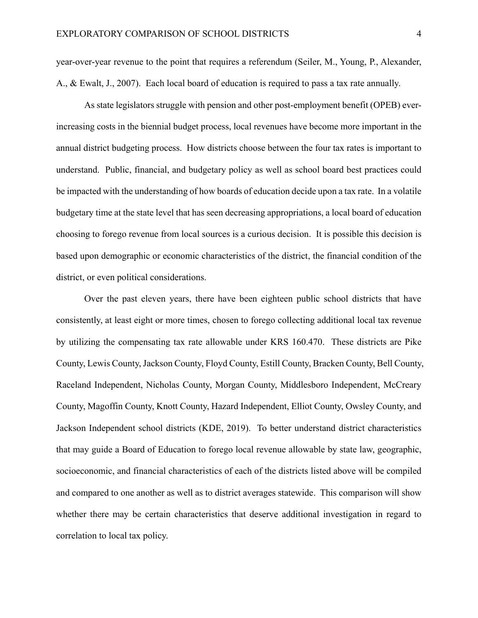year-over-year revenue to the point that requires a referendum (Seiler, M., Young, P., Alexander, A., & Ewalt, J., 2007). Each local board of education is required to pass a tax rate annually.

As state legislators struggle with pension and other post-employment benefit (OPEB) everincreasing costs in the biennial budget process, local revenues have become more important in the annual district budgeting process. How districts choose between the four tax rates is important to understand. Public, financial, and budgetary policy as well as school board best practices could be impacted with the understanding of how boards of education decide upon a tax rate. In a volatile budgetary time at the state level that has seen decreasing appropriations, a local board of education choosing to forego revenue from local sources is a curious decision. It is possible this decision is based upon demographic or economic characteristics of the district, the financial condition of the district, or even political considerations.

Over the past eleven years, there have been eighteen public school districts that have consistently, at least eight or more times, chosen to forego collecting additional local tax revenue by utilizing the compensating tax rate allowable under KRS 160.470. These districts are Pike County, Lewis County, Jackson County, Floyd County, Estill County, Bracken County, Bell County, Raceland Independent, Nicholas County, Morgan County, Middlesboro Independent, McCreary County, Magoffin County, Knott County, Hazard Independent, Elliot County, Owsley County, and Jackson Independent school districts (KDE, 2019). To better understand district characteristics that may guide a Board of Education to forego local revenue allowable by state law, geographic, socioeconomic, and financial characteristics of each of the districts listed above will be compiled and compared to one another as well as to district averages statewide. This comparison will show whether there may be certain characteristics that deserve additional investigation in regard to correlation to local tax policy.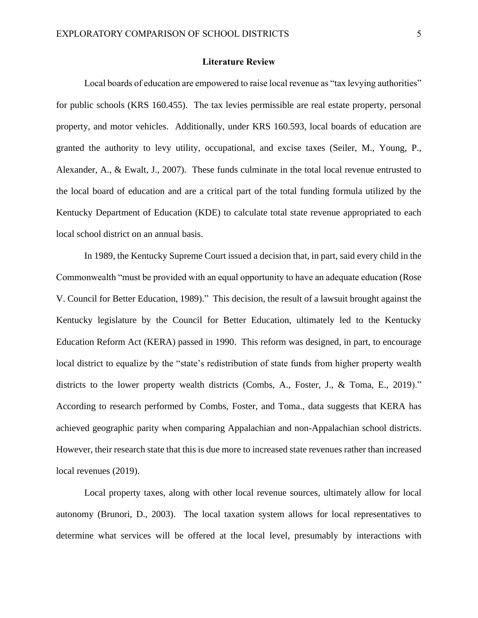#### **Literature Review**

Local boards of education are empowered to raise local revenue as "tax levying authorities" for public schools (KRS 160.455). The tax levies permissible are real estate property, personal property, and motor vehicles. Additionally, under KRS 160.593, local boards of education are granted the authority to levy utility, occupational, and excise taxes (Seiler, M., Young, P., Alexander, A., & Ewalt, J., 2007). These funds culminate in the total local revenue entrusted to the local board of education and are a critical part of the total funding formula utilized by the Kentucky Department of Education (KDE) to calculate total state revenue appropriated to each local school district on an annual basis.

In 1989, the Kentucky Supreme Court issued a decision that, in part, said every child in the Commonwealth "must be provided with an equal opportunity to have an adequate education (Rose V. Council for Better Education, 1989)." This decision, the result of a lawsuit brought against the Kentucky legislature by the Council for Better Education, ultimately led to the Kentucky Education Reform Act (KERA) passed in 1990. This reform was designed, in part, to encourage local district to equalize by the "state's redistribution of state funds from higher property wealth districts to the lower property wealth districts (Combs, A., Foster, J., & Toma, E., 2019)." According to research performed by Combs, Foster, and Toma., data suggests that KERA has achieved geographic parity when comparing Appalachian and non-Appalachian school districts. However, their research state that this is due more to increased state revenues rather than increased local revenues (2019).

Local property taxes, along with other local revenue sources, ultimately allow for local autonomy (Brunori, D., 2003). The local taxation system allows for local representatives to determine what services will be offered at the local level, presumably by interactions with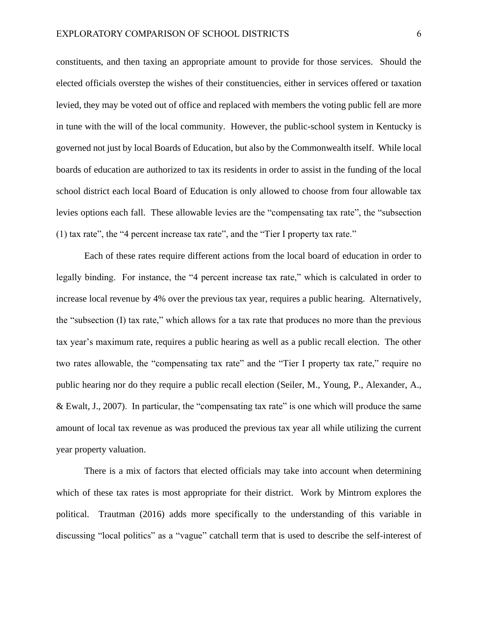constituents, and then taxing an appropriate amount to provide for those services. Should the elected officials overstep the wishes of their constituencies, either in services offered or taxation levied, they may be voted out of office and replaced with members the voting public fell are more in tune with the will of the local community. However, the public-school system in Kentucky is governed not just by local Boards of Education, but also by the Commonwealth itself. While local boards of education are authorized to tax its residents in order to assist in the funding of the local school district each local Board of Education is only allowed to choose from four allowable tax levies options each fall. These allowable levies are the "compensating tax rate", the "subsection (1) tax rate", the "4 percent increase tax rate", and the "Tier I property tax rate."

Each of these rates require different actions from the local board of education in order to legally binding. For instance, the "4 percent increase tax rate," which is calculated in order to increase local revenue by 4% over the previous tax year, requires a public hearing. Alternatively, the "subsection (I) tax rate," which allows for a tax rate that produces no more than the previous tax year's maximum rate, requires a public hearing as well as a public recall election. The other two rates allowable, the "compensating tax rate" and the "Tier I property tax rate," require no public hearing nor do they require a public recall election (Seiler, M., Young, P., Alexander, A., & Ewalt, J., 2007). In particular, the "compensating tax rate" is one which will produce the same amount of local tax revenue as was produced the previous tax year all while utilizing the current year property valuation.

There is a mix of factors that elected officials may take into account when determining which of these tax rates is most appropriate for their district. Work by Mintrom explores the political. Trautman (2016) adds more specifically to the understanding of this variable in discussing "local politics" as a "vague" catchall term that is used to describe the self-interest of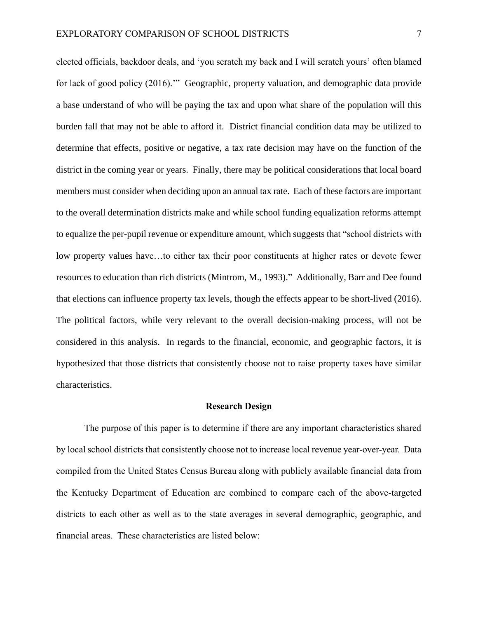elected officials, backdoor deals, and 'you scratch my back and I will scratch yours' often blamed for lack of good policy (2016).'" Geographic, property valuation, and demographic data provide a base understand of who will be paying the tax and upon what share of the population will this burden fall that may not be able to afford it. District financial condition data may be utilized to determine that effects, positive or negative, a tax rate decision may have on the function of the district in the coming year or years. Finally, there may be political considerations that local board members must consider when deciding upon an annual tax rate. Each of these factors are important to the overall determination districts make and while school funding equalization reforms attempt to equalize the per-pupil revenue or expenditure amount, which suggests that "school districts with low property values have…to either tax their poor constituents at higher rates or devote fewer resources to education than rich districts (Mintrom, M., 1993)." Additionally, Barr and Dee found that elections can influence property tax levels, though the effects appear to be short-lived (2016). The political factors, while very relevant to the overall decision-making process, will not be considered in this analysis. In regards to the financial, economic, and geographic factors, it is hypothesized that those districts that consistently choose not to raise property taxes have similar characteristics.

#### **Research Design**

The purpose of this paper is to determine if there are any important characteristics shared by local school districts that consistently choose not to increase local revenue year-over-year. Data compiled from the United States Census Bureau along with publicly available financial data from the Kentucky Department of Education are combined to compare each of the above-targeted districts to each other as well as to the state averages in several demographic, geographic, and financial areas. These characteristics are listed below: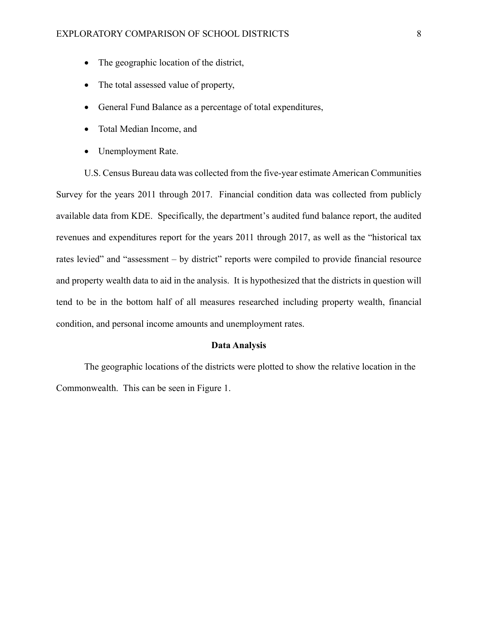- The geographic location of the district,
- The total assessed value of property,
- General Fund Balance as a percentage of total expenditures,
- Total Median Income, and
- Unemployment Rate.

U.S. Census Bureau data was collected from the five-year estimate American Communities Survey for the years 2011 through 2017. Financial condition data was collected from publicly available data from KDE. Specifically, the department's audited fund balance report, the audited revenues and expenditures report for the years 2011 through 2017, as well as the "historical tax rates levied" and "assessment – by district" reports were compiled to provide financial resource and property wealth data to aid in the analysis. It is hypothesized that the districts in question will tend to be in the bottom half of all measures researched including property wealth, financial condition, and personal income amounts and unemployment rates.

## **Data Analysis**

The geographic locations of the districts were plotted to show the relative location in the Commonwealth. This can be seen in Figure 1.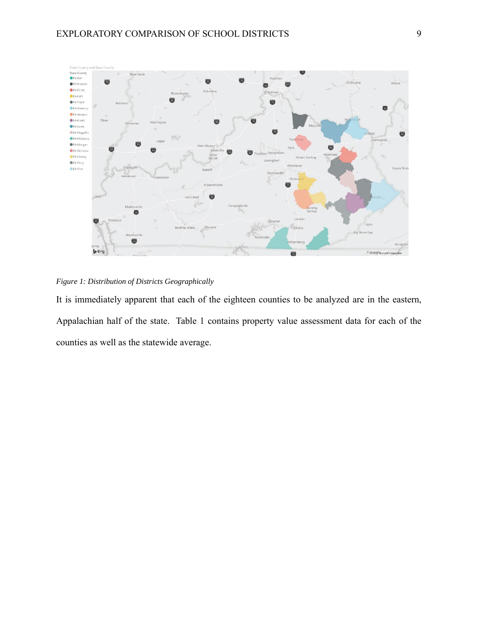

*Figure 1: Distribution of Districts Geographically*

It is immediately apparent that each of the eighteen counties to be analyzed are in the eastern, Appalachian half of the state. Table 1 contains property value assessment data for each of the counties as well as the statewide average.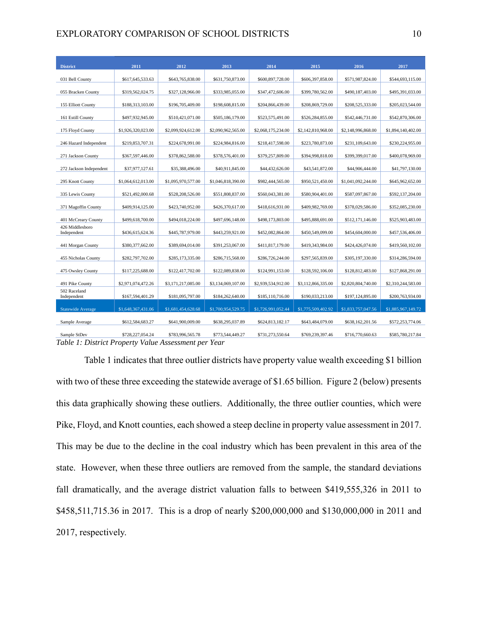#### EXPLORATORY COMPARISON OF SCHOOL DISTRICTS 10

| <b>District</b>                | 2011               | 2012               | 2013               | 2014               | 2015               | 2016               | 2017               |
|--------------------------------|--------------------|--------------------|--------------------|--------------------|--------------------|--------------------|--------------------|
| 031 Bell County                | \$617,645,533.63   | \$643,765,838.00   | \$631,750,873.00   | \$600,897,728.00   | \$606,397,858.00   | \$571,987,824.00   | \$544,693,115.00   |
| 055 Bracken County             | \$319,562,024.75   | \$327,128,966.00   | \$333,985,055.00   | \$347,472,606.00   | \$399,780,562.00   | \$490,187,403.00   | \$495,391,033.00   |
| 155 Elliott County             | \$188,313,103.00   | \$196,705,409.00   | \$198,608,815.00   | \$204,866,439.00   | \$208,869,729.00   | \$208,525,333.00   | \$205,023,544.00   |
| 161 Estill County              | \$497,932,945.00   | \$510,421,071.00   | \$505,186,179.00   | \$523,575,491.00   | \$526,284,855.00   | \$542,446,731.00   | \$542,870,306.00   |
|                                |                    |                    |                    |                    |                    |                    |                    |
| 175 Floyd County               | \$1,926,320,023.00 | \$2,099,924,612.00 | \$2,090,962,565.00 | \$2,068,175,234.00 | \$2,142,810,968.00 | \$2,148,996,868.00 | \$1,894,140,402.00 |
| 246 Hazard Independent         | \$219,853,707.31   | \$224,678,991.00   | \$224,984,816.00   | \$218,417,598.00   | \$223,780,873.00   | \$231,109,643.00   | \$230,224,955.00   |
| 271 Jackson County             | \$367,597,446.00   | \$378,862,588.00   | \$378,576,401.00   | \$379,257,809.00   | \$394,998,818.00   | \$399,399,017.00   | \$400,078,969.00   |
| 272 Jackson Independent        | \$37,977,127.61    | \$35,388,496.00    | \$40,911,845.00    | \$44,432,626.00    | \$43,541,872.00    | \$44,906,444.00    | \$41,797,130.00    |
| 295 Knott County               | \$1,064,612,013.00 | \$1,095,970,577.00 | \$1,046,818,390.00 | \$982,444,565.00   | \$950,521,450.00   | \$1,041,092,244.00 | \$645,962,652.00   |
| 335 Lewis County               | \$521,492,000.68   | \$528,208,526.00   | \$551,808,837.00   | \$560,043,381.00   | \$580,904,401.00   | \$587,097,867.00   | \$592,137,204.00   |
| 371 Magoffin County            | \$409,914,125.00   | \$423,740,952.00   | \$426,370,617.00   | \$418,616,931.00   | \$409,982,769.00   | \$378,029,586.00   | \$352,085,230.00   |
| 401 McCreary County            | \$499,618,700.00   | \$494,018,224.00   | \$497,696,148.00   | \$498,173,803.00   | \$495,888,691.00   | \$512,171,146.00   | \$525,903,483.00   |
| 426 Middlesboro<br>Independent | \$436,615,624.36   | \$445,787,979.00   | \$443,259,921.00   | \$452,082,864.00   | \$450,549,099.00   | \$454,604,000.00   | \$457,536,406.00   |
| 441 Morgan County              | \$380,377,662.00   | \$389,694,014.00   | \$391,253,067.00   | \$411,817,179.00   | \$419,343,984.00   | \$424,426,074.00   | \$419,560,102.00   |
| 455 Nicholas County            | \$282,797,702.00   | \$285,173,335.00   | \$286,715,568.00   | \$286,726,244.00   | \$297,565,839.00   | \$305,197,330.00   | \$314,286,594.00   |
| 475 Owsley County              | \$117,225,688.00   | \$122,417,702.00   | \$122,089,838.00   | \$124,991,153.00   | \$128,592,106.00   | \$128,812,483.00   | \$127,868,291.00   |
| 491 Pike County                | \$2,971,074,472.26 | \$3,171,217,085.00 | \$3,134,069,107.00 | \$2,939,534,912.00 | \$3,112,866,335.00 | \$2,820,804,740.00 | \$2,310,244,583.00 |
| 502 Raceland<br>Independent    | \$167,594,401.29   | \$181,095,797.00   | \$184,262,640.00   | \$185,110,716.00   | \$190,033,213.00   | \$197,124,895.00   | \$200,763,934.00   |
| <b>Statewide Average</b>       | \$1,648,367,431.06 | \$1,681,454,628.68 | \$1,700,954,529.75 | \$1,726,991,052.44 | \$1,775,509,402.92 | \$1,833,757,047.56 | \$1,885,967,149.72 |
| Sample Average                 | \$612,584,683.27   | \$641,900,009.00   | \$638,295,037.89   | \$624,813,182.17   | \$643,484,079.00   | \$638,162,201.56   | \$572,253,774.06   |
| Sample StDev                   | \$728,227,054.24   | \$783,996,565.78   | \$773,544,449.27   | \$731,273,550.64   | \$769,239,397.46   | \$716,770,660.63   | \$585,780,217.84   |

*Table 1: District Property Value Assessment per Year*

Table 1 indicates that three outlier districts have property value wealth exceeding \$1 billion with two of these three exceeding the statewide average of \$1.65 billion. Figure 2 (below) presents this data graphically showing these outliers. Additionally, the three outlier counties, which were Pike, Floyd, and Knott counties, each showed a steep decline in property value assessment in 2017. This may be due to the decline in the coal industry which has been prevalent in this area of the state. However, when these three outliers are removed from the sample, the standard deviations fall dramatically, and the average district valuation falls to between \$419,555,326 in 2011 to \$458,511,715.36 in 2017. This is a drop of nearly \$200,000,000 and \$130,000,000 in 2011 and 2017, respectively.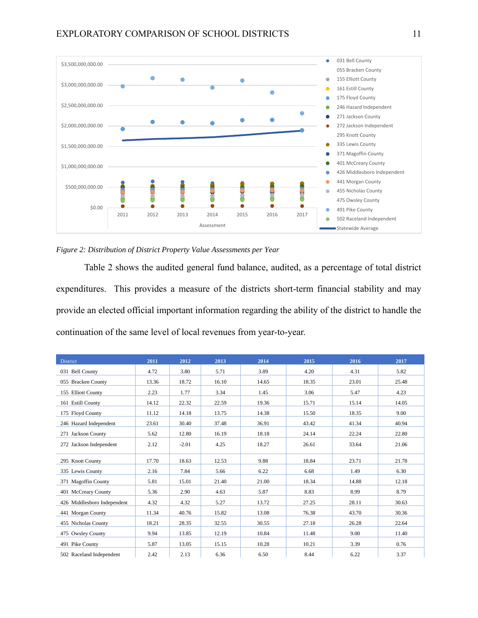

*Figure 2: Distribution of District Property Value Assessments per Year*

Table 2 shows the audited general fund balance, audited, as a percentage of total district expenditures. This provides a measure of the districts short-term financial stability and may provide an elected official important information regarding the ability of the district to handle the continuation of the same level of local revenues from year-to-year.

| <b>District</b>             | 2011  | 2012    | 2013  | 2014  | 2015  | 2016  | 2017  |
|-----------------------------|-------|---------|-------|-------|-------|-------|-------|
| 031 Bell County             | 4.72  | 3.80    | 5.71  | 3.89  | 4.20  | 4.31  | 5.82  |
| 055 Bracken County          | 13.36 | 18.72   | 16.10 | 14.65 | 18.35 | 23.01 | 25.48 |
| 155 Elliott County          | 2.23  | 1.77    | 3.34  | 1.45  | 3.06  | 5.47  | 4.23  |
| 161 Estill County           | 14.12 | 22.32   | 22.59 | 19.36 | 15.71 | 15.14 | 14.05 |
| 175 Floyd County            | 11.12 | 14.18   | 13.75 | 14.38 | 15.50 | 18.35 | 9.00  |
| 246 Hazard Independent      | 23.61 | 30.40   | 37.48 | 36.91 | 43.42 | 41.34 | 40.94 |
| 271 Jackson County          | 5.62  | 12.80   | 16.19 | 18.18 | 24.14 | 22.24 | 22.80 |
| 272 Jackson Independent     | 2.12  | $-2.01$ | 4.25  | 18.27 | 26.61 | 33.64 | 21.06 |
| 295 Knott County            | 17.70 | 18.63   | 12.53 | 9.88  | 18.84 | 23.71 | 21.78 |
| 335 Lewis County            | 2.16  | 7.84    | 5.66  | 6.22  | 6.68  | 1.49  | 6.30  |
| 371 Magoffin County         | 5.81  | 15.01   | 21.40 | 21.00 | 18.34 | 14.88 | 12.18 |
| 401 McCreary County         | 5.36  | 2.90    | 4.63  | 5.87  | 8.83  | 8.99  | 8.79  |
| 426 Middlesboro Independent | 4.32  | 4.32    | 5.27  | 13.72 | 27.25 | 28.11 | 30.63 |
| 441 Morgan County           | 11.34 | 40.76   | 15.82 | 13.08 | 76.38 | 43.70 | 30.36 |
| 455 Nicholas County         | 18.21 | 28.35   | 32.55 | 30.55 | 27.18 | 26.28 | 22.64 |
| 475 Owsley County           | 9.94  | 13.85   | 12.19 | 10.84 | 11.48 | 9.00  | 11.40 |
| 491 Pike County             | 5.87  | 13.05   | 15.15 | 10.28 | 10.21 | 3.39  | 0.76  |
| 502 Raceland Independent    | 2.42  | 2.13    | 6.36  | 6.50  | 8.44  | 6.22  | 3.37  |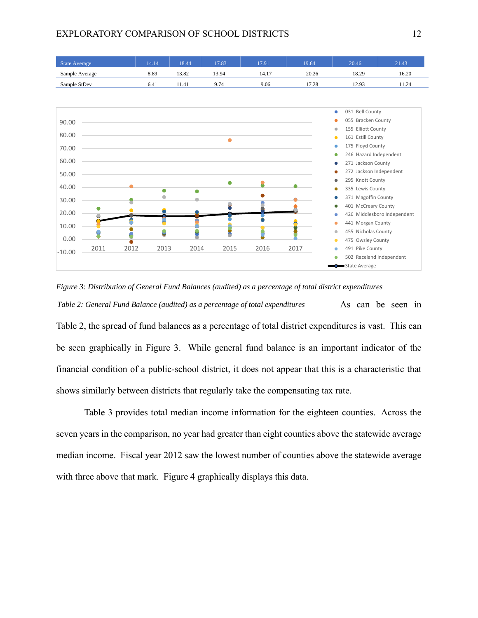



Table 3 provides total median income information for the eighteen counties. Across the seven years in the comparison, no year had greater than eight counties above the statewide average median income. Fiscal year 2012 saw the lowest number of counties above the statewide average with three above that mark. Figure 4 graphically displays this data.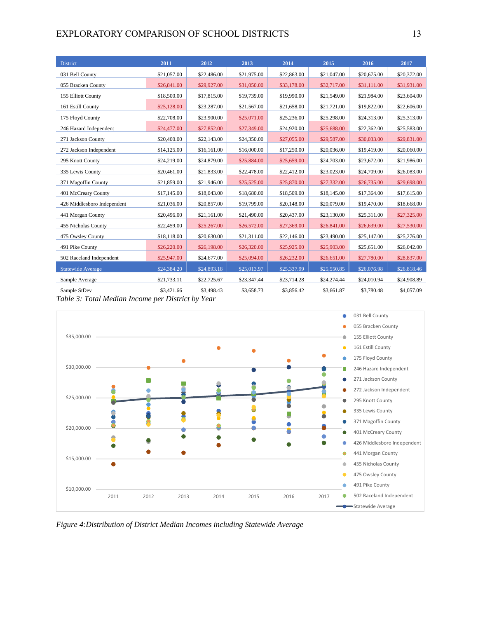## EXPLORATORY COMPARISON OF SCHOOL DISTRICTS 13

| <b>District</b>             | 2011        | 2012        | 2013        | 2014        | 2015        | 2016        | 2017        |
|-----------------------------|-------------|-------------|-------------|-------------|-------------|-------------|-------------|
| 031 Bell County             | \$21,057.00 | \$22,486.00 | \$21,975.00 | \$22,863.00 | \$21,047.00 | \$20,675.00 | \$20,372.00 |
| 055 Bracken County          | \$26,841.00 | \$29,927.00 | \$31,050.00 | \$33,178.00 | \$32,717.00 | \$31,111.00 | \$31,931.00 |
| 155 Elliott County          | \$18,500.00 | \$17,815.00 | \$19,739.00 | \$19,990.00 | \$21,549.00 | \$21,984.00 | \$23,604.00 |
| 161 Estill County           | \$25,128.00 | \$23,287.00 | \$21,567.00 | \$21,658.00 | \$21,721.00 | \$19,822.00 | \$22,606.00 |
| 175 Floyd County            | \$22,708.00 | \$23,900.00 | \$25,071.00 | \$25,236.00 | \$25,298.00 | \$24,313.00 | \$25,313.00 |
| 246 Hazard Independent      | \$24,477.00 | \$27,852.00 | \$27,349.00 | \$24,920.00 | \$25,688.00 | \$22,362.00 | \$25,583.00 |
| 271 Jackson County          | \$20,400.00 | \$22,143.00 | \$24,350.00 | \$27,055.00 | \$29,587.00 | \$30,033.00 | \$29,831.00 |
| 272 Jackson Independent     | \$14,125.00 | \$16,161.00 | \$16,000.00 | \$17,250.00 | \$20,036.00 | \$19,419.00 | \$20,060.00 |
| 295 Knott County            | \$24,219.00 | \$24,879.00 | \$25,884.00 | \$25,659.00 | \$24,703.00 | \$23,672.00 | \$21,986.00 |
| 335 Lewis County            | \$20,461.00 | \$21,833.00 | \$22,478.00 | \$22,412.00 | \$23,023.00 | \$24,709.00 | \$26,083.00 |
| 371 Magoffin County         | \$21,859.00 | \$21,946.00 | \$25,525.00 | \$25,870.00 | \$27,332.00 | \$26,735.00 | \$29,698.00 |
| 401 McCreary County         | \$17,145.00 | \$18,043.00 | \$18,680.00 | \$18,509.00 | \$18,145.00 | \$17,364.00 | \$17,615.00 |
| 426 Middlesboro Independent | \$21,036.00 | \$20,857.00 | \$19,799.00 | \$20,148.00 | \$20,079.00 | \$19,470.00 | \$18,668.00 |
| 441 Morgan County           | \$20,496.00 | \$21,161.00 | \$21,490.00 | \$20,437.00 | \$23,130.00 | \$25,311.00 | \$27,325.00 |
| 455 Nicholas County         | \$22,459.00 | \$25,267.00 | \$26,572.00 | \$27,369.00 | \$26,841.00 | \$26,639.00 | \$27,530.00 |
| 475 Owsley County           | \$18,118.00 | \$20,630.00 | \$21,311.00 | \$22,146.00 | \$23,490.00 | \$25,147.00 | \$25,276.00 |
| 491 Pike County             | \$26,220.00 | \$26,198.00 | \$26,320.00 | \$25,925.00 | \$25,903.00 | \$25,651.00 | \$26,042.00 |
| 502 Raceland Independent    | \$25,947.00 | \$24,677.00 | \$25,094.00 | \$26,232.00 | \$26,651.00 | \$27,780.00 | \$28,837.00 |
| <b>Statewide Average</b>    | \$24,384.20 | \$24,893.18 | \$25,013.97 | \$25,337.99 | \$25,550.85 | \$26,076.98 | \$26,818.46 |
| Sample Average              | \$21,733.11 | \$22,725.67 | \$23,347.44 | \$23,714.28 | \$24,274.44 | \$24,010.94 | \$24,908.89 |
| Sample StDev                | \$3,421.66  | \$3,498.43  | \$3,658.73  | \$3,856.42  | \$3,661.87  | \$3,780.48  | \$4,057.09  |

*Table 3: Total Median Income per District by Year*



*Figure 4:Distribution of District Median Incomes including Statewide Average*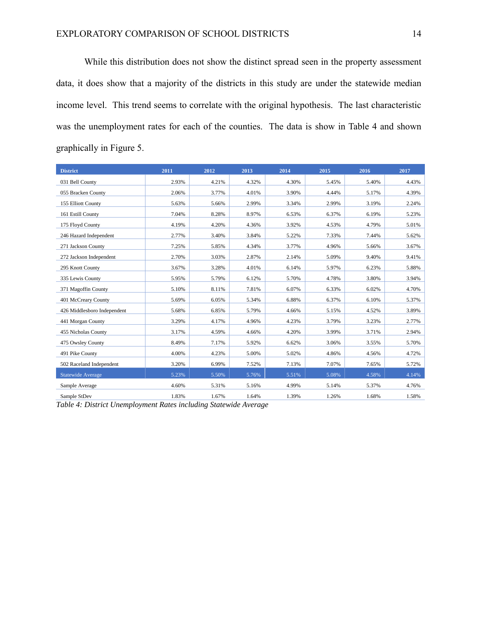While this distribution does not show the distinct spread seen in the property assessment data, it does show that a majority of the districts in this study are under the statewide median income level. This trend seems to correlate with the original hypothesis. The last characteristic was the unemployment rates for each of the counties. The data is show in Table 4 and shown graphically in Figure 5.

| <b>District</b>             | 2011  | 2012  | 2013  | 2014  | 2015  | 2016  | 2017  |
|-----------------------------|-------|-------|-------|-------|-------|-------|-------|
| 031 Bell County             | 2.93% | 4.21% | 4.32% | 4.30% | 5.45% | 5.40% | 4.43% |
| 055 Bracken County          | 2.06% | 3.77% | 4.01% | 3.90% | 4.44% | 5.17% | 4.39% |
| 155 Elliott County          | 5.63% | 5.66% | 2.99% | 3.34% | 2.99% | 3.19% | 2.24% |
| 161 Estill County           | 7.04% | 8.28% | 8.97% | 6.53% | 6.37% | 6.19% | 5.23% |
| 175 Floyd County            | 4.19% | 4.20% | 4.36% | 3.92% | 4.53% | 4.79% | 5.01% |
| 246 Hazard Independent      | 2.77% | 3.40% | 3.84% | 5.22% | 7.33% | 7.44% | 5.62% |
| 271 Jackson County          | 7.25% | 5.85% | 4.34% | 3.77% | 4.96% | 5.66% | 3.67% |
| 272 Jackson Independent     | 2.70% | 3.03% | 2.87% | 2.14% | 5.09% | 9.40% | 9.41% |
| 295 Knott County            | 3.67% | 3.28% | 4.01% | 6.14% | 5.97% | 6.23% | 5.88% |
| 335 Lewis County            | 5.95% | 5.79% | 6.12% | 5.70% | 4.78% | 3.80% | 3.94% |
| 371 Magoffin County         | 5.10% | 8.11% | 7.81% | 6.07% | 6.33% | 6.02% | 4.70% |
| 401 McCreary County         | 5.69% | 6.05% | 5.34% | 6.88% | 6.37% | 6.10% | 5.37% |
| 426 Middlesboro Independent | 5.68% | 6.85% | 5.79% | 4.66% | 5.15% | 4.52% | 3.89% |
| 441 Morgan County           | 3.29% | 4.17% | 4.96% | 4.23% | 3.79% | 3.23% | 2.77% |
| 455 Nicholas County         | 3.17% | 4.59% | 4.66% | 4.20% | 3.99% | 3.71% | 2.94% |
| 475 Owsley County           | 8.49% | 7.17% | 5.92% | 6.62% | 3.06% | 3.55% | 5.70% |
| 491 Pike County             | 4.00% | 4.23% | 5.00% | 5.02% | 4.86% | 4.56% | 4.72% |
| 502 Raceland Independent    | 3.20% | 6.99% | 7.52% | 7.13% | 7.07% | 7.65% | 5.72% |
| <b>Statewide Average</b>    | 5.23% | 5.50% | 5.76% | 5.51% | 5.08% | 4.58% | 4.14% |
| Sample Average              | 4.60% | 5.31% | 5.16% | 4.99% | 5.14% | 5.37% | 4.76% |
| Sample StDev                | 1.83% | 1.67% | 1.64% | 1.39% | 1.26% | 1.68% | 1.58% |

*Table 4: District Unemployment Rates including Statewide Average*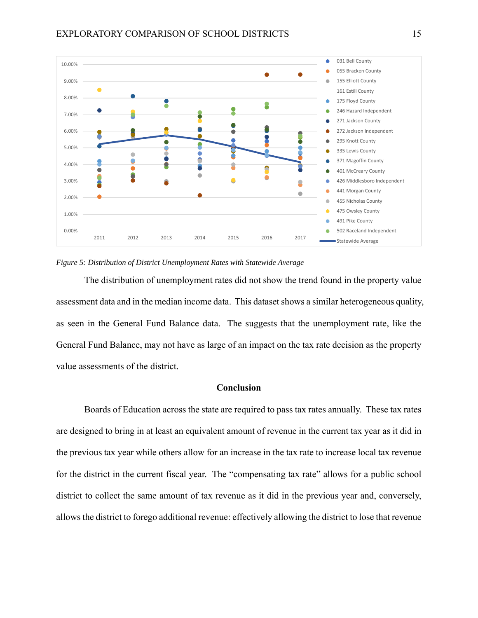

#### *Figure 5: Distribution of District Unemployment Rates with Statewide Average*

The distribution of unemployment rates did not show the trend found in the property value assessment data and in the median income data. This dataset shows a similar heterogeneous quality, as seen in the General Fund Balance data. The suggests that the unemployment rate, like the General Fund Balance, may not have as large of an impact on the tax rate decision as the property value assessments of the district.

## **Conclusion**

Boards of Education across the state are required to pass tax rates annually. These tax rates are designed to bring in at least an equivalent amount of revenue in the current tax year as it did in the previous tax year while others allow for an increase in the tax rate to increase local tax revenue for the district in the current fiscal year. The "compensating tax rate" allows for a public school district to collect the same amount of tax revenue as it did in the previous year and, conversely, allows the district to forego additional revenue: effectively allowing the district to lose that revenue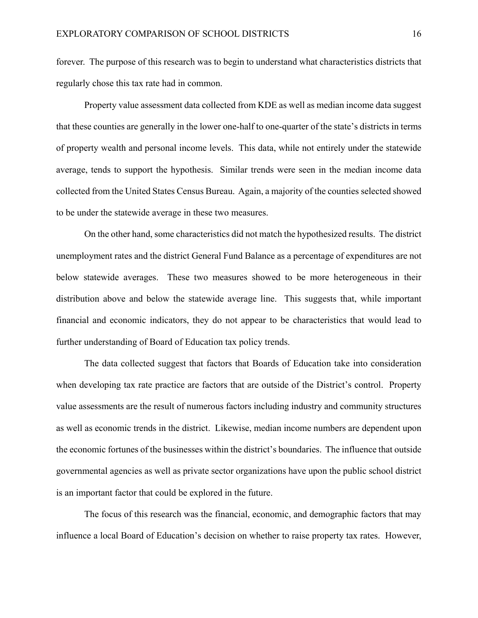forever. The purpose of this research was to begin to understand what characteristics districts that regularly chose this tax rate had in common.

Property value assessment data collected from KDE as well as median income data suggest that these counties are generally in the lower one-half to one-quarter of the state's districts in terms of property wealth and personal income levels. This data, while not entirely under the statewide average, tends to support the hypothesis. Similar trends were seen in the median income data collected from the United States Census Bureau. Again, a majority of the counties selected showed to be under the statewide average in these two measures.

On the other hand, some characteristics did not match the hypothesized results. The district unemployment rates and the district General Fund Balance as a percentage of expenditures are not below statewide averages. These two measures showed to be more heterogeneous in their distribution above and below the statewide average line. This suggests that, while important financial and economic indicators, they do not appear to be characteristics that would lead to further understanding of Board of Education tax policy trends.

The data collected suggest that factors that Boards of Education take into consideration when developing tax rate practice are factors that are outside of the District's control. Property value assessments are the result of numerous factors including industry and community structures as well as economic trends in the district. Likewise, median income numbers are dependent upon the economic fortunes of the businesses within the district's boundaries. The influence that outside governmental agencies as well as private sector organizations have upon the public school district is an important factor that could be explored in the future.

The focus of this research was the financial, economic, and demographic factors that may influence a local Board of Education's decision on whether to raise property tax rates. However,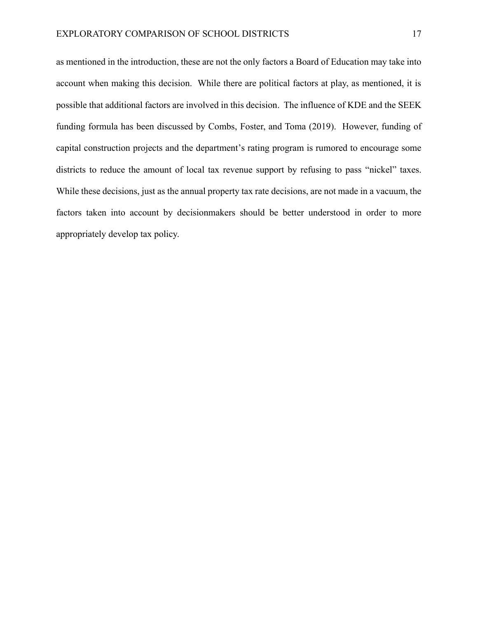as mentioned in the introduction, these are not the only factors a Board of Education may take into account when making this decision. While there are political factors at play, as mentioned, it is possible that additional factors are involved in this decision. The influence of KDE and the SEEK funding formula has been discussed by Combs, Foster, and Toma (2019). However, funding of capital construction projects and the department's rating program is rumored to encourage some districts to reduce the amount of local tax revenue support by refusing to pass "nickel" taxes. While these decisions, just as the annual property tax rate decisions, are not made in a vacuum, the factors taken into account by decisionmakers should be better understood in order to more appropriately develop tax policy.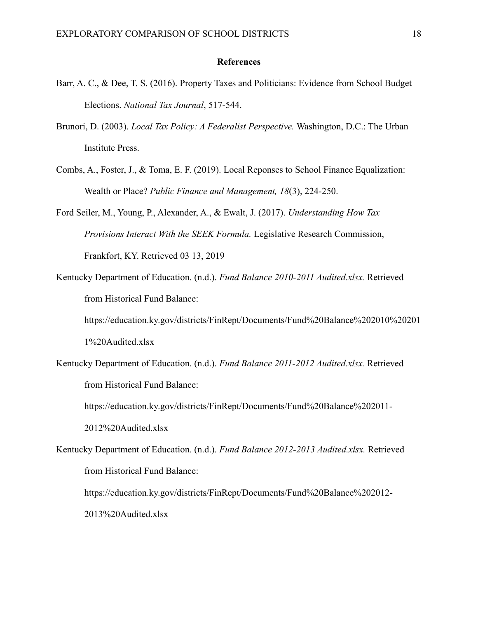#### **References**

- Barr, A. C., & Dee, T. S. (2016). Property Taxes and Politicians: Evidence from School Budget Elections. *National Tax Journal*, 517-544.
- Brunori, D. (2003). *Local Tax Policy: A Federalist Perspective.* Washington, D.C.: The Urban Institute Press.
- Combs, A., Foster, J., & Toma, E. F. (2019). Local Reponses to School Finance Equalization: Wealth or Place? *Public Finance and Management, 18*(3), 224-250.
- Ford Seiler, M., Young, P., Alexander, A., & Ewalt, J. (2017). *Understanding How Tax Provisions Interact With the SEEK Formula.* Legislative Research Commission, Frankfort, KY. Retrieved 03 13, 2019
- Kentucky Department of Education. (n.d.). *Fund Balance 2010-2011 Audited.xlsx.* Retrieved from Historical Fund Balance:

https://education.ky.gov/districts/FinRept/Documents/Fund%20Balance%202010%20201 1%20Audited.xlsx

Kentucky Department of Education. (n.d.). *Fund Balance 2011-2012 Audited.xlsx.* Retrieved from Historical Fund Balance:

https://education.ky.gov/districts/FinRept/Documents/Fund%20Balance%202011-

2012%20Audited.xlsx

Kentucky Department of Education. (n.d.). *Fund Balance 2012-2013 Audited.xlsx.* Retrieved from Historical Fund Balance:

https://education.ky.gov/districts/FinRept/Documents/Fund%20Balance%202012- 2013%20Audited.xlsx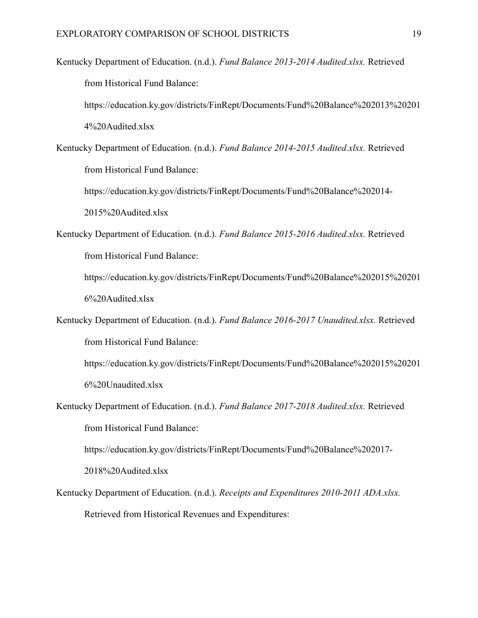Kentucky Department of Education. (n.d.). *Fund Balance 2013-2014 Audited.xlsx.* Retrieved from Historical Fund Balance:

https://education.ky.gov/districts/FinRept/Documents/Fund%20Balance%202013%20201 4%20Audited.xlsx

Kentucky Department of Education. (n.d.). *Fund Balance 2014-2015 Audited.xlsx.* Retrieved from Historical Fund Balance:

https://education.ky.gov/districts/FinRept/Documents/Fund%20Balance%202014- 2015%20Audited.xlsx

Kentucky Department of Education. (n.d.). *Fund Balance 2015-2016 Audited.xlsx.* Retrieved from Historical Fund Balance:

https://education.ky.gov/districts/FinRept/Documents/Fund%20Balance%202015%20201 6%20Audited.xlsx

Kentucky Department of Education. (n.d.). *Fund Balance 2016-2017 Unaudited.xlsx.* Retrieved from Historical Fund Balance:

https://education.ky.gov/districts/FinRept/Documents/Fund%20Balance%202015%20201 6%20Unaudited.xlsx

Kentucky Department of Education. (n.d.). *Fund Balance 2017-2018 Audited.xlsx.* Retrieved from Historical Fund Balance:

https://education.ky.gov/districts/FinRept/Documents/Fund%20Balance%202017-

2018%20Audited.xlsx

Kentucky Department of Education. (n.d.). *Receipts and Expenditures 2010-2011 ADA.xlsx.* Retrieved from Historical Revenues and Expenditures: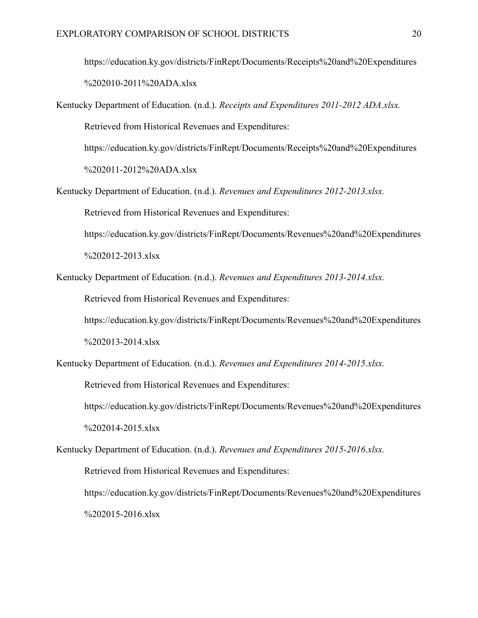https://education.ky.gov/districts/FinRept/Documents/Receipts%20and%20Expenditures %202010-2011%20ADA.xlsx

Kentucky Department of Education. (n.d.). *Receipts and Expenditures 2011-2012 ADA.xlsx.* Retrieved from Historical Revenues and Expenditures:

https://education.ky.gov/districts/FinRept/Documents/Receipts%20and%20Expenditures

%202011-2012%20ADA.xlsx

Kentucky Department of Education. (n.d.). *Revenues and Expenditures 2012-2013.xlsx.* Retrieved from Historical Revenues and Expenditures:

https://education.ky.gov/districts/FinRept/Documents/Revenues%20and%20Expenditures %202012-2013.xlsx

Kentucky Department of Education. (n.d.). *Revenues and Expenditures 2013-2014.xlsx.*

Retrieved from Historical Revenues and Expenditures:

https://education.ky.gov/districts/FinRept/Documents/Revenues%20and%20Expenditures %202013-2014.xlsx

Kentucky Department of Education. (n.d.). *Revenues and Expenditures 2014-2015.xlsx.*

Retrieved from Historical Revenues and Expenditures:

https://education.ky.gov/districts/FinRept/Documents/Revenues%20and%20Expenditures %202014-2015.xlsx

Kentucky Department of Education. (n.d.). *Revenues and Expenditures 2015-2016.xlsx.* Retrieved from Historical Revenues and Expenditures: https://education.ky.gov/districts/FinRept/Documents/Revenues%20and%20Expenditures %202015-2016.xlsx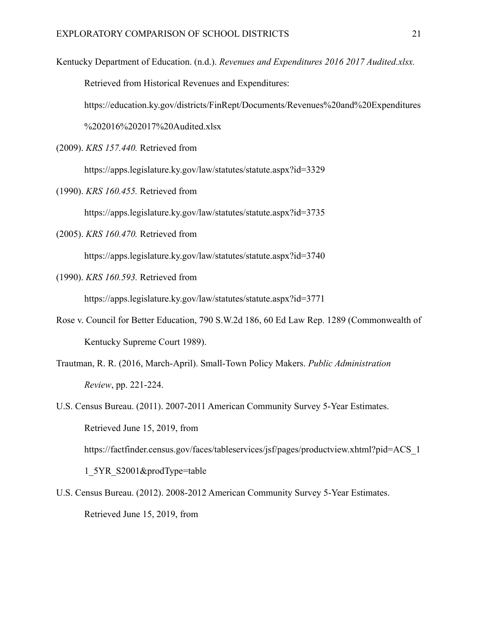Kentucky Department of Education. (n.d.). *Revenues and Expenditures 2016 2017 Audited.xlsx.* Retrieved from Historical Revenues and Expenditures: https://education.ky.gov/districts/FinRept/Documents/Revenues%20and%20Expenditures %202016%202017%20Audited.xlsx

(2009). *KRS 157.440.* Retrieved from

https://apps.legislature.ky.gov/law/statutes/statute.aspx?id=3329

(1990). *KRS 160.455.* Retrieved from

https://apps.legislature.ky.gov/law/statutes/statute.aspx?id=3735

(2005). *KRS 160.470.* Retrieved from

https://apps.legislature.ky.gov/law/statutes/statute.aspx?id=3740

(1990). *KRS 160.593.* Retrieved from

https://apps.legislature.ky.gov/law/statutes/statute.aspx?id=3771

- Rose v. Council for Better Education, 790 S.W.2d 186, 60 Ed Law Rep. 1289 (Commonwealth of Kentucky Supreme Court 1989).
- Trautman, R. R. (2016, March-April). Small-Town Policy Makers. *Public Administration Review*, pp. 221-224.

U.S. Census Bureau. (2011). 2007-2011 American Community Survey 5-Year Estimates. Retrieved June 15, 2019, from https://factfinder.census.gov/faces/tableservices/jsf/pages/productview.xhtml?pid=ACS\_1 1\_5YR\_S2001&prodType=table

U.S. Census Bureau. (2012). 2008-2012 American Community Survey 5-Year Estimates. Retrieved June 15, 2019, from